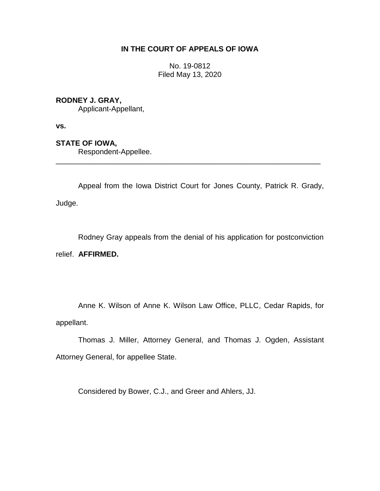## **IN THE COURT OF APPEALS OF IOWA**

No. 19-0812 Filed May 13, 2020

**RODNEY J. GRAY,**

Applicant-Appellant,

**vs.**

**STATE OF IOWA,**

Respondent-Appellee.

Appeal from the Iowa District Court for Jones County, Patrick R. Grady, Judge.

\_\_\_\_\_\_\_\_\_\_\_\_\_\_\_\_\_\_\_\_\_\_\_\_\_\_\_\_\_\_\_\_\_\_\_\_\_\_\_\_\_\_\_\_\_\_\_\_\_\_\_\_\_\_\_\_\_\_\_\_\_\_\_\_

Rodney Gray appeals from the denial of his application for postconviction relief. **AFFIRMED.**

Anne K. Wilson of Anne K. Wilson Law Office, PLLC, Cedar Rapids, for appellant.

Thomas J. Miller, Attorney General, and Thomas J. Ogden, Assistant Attorney General, for appellee State.

Considered by Bower, C.J., and Greer and Ahlers, JJ.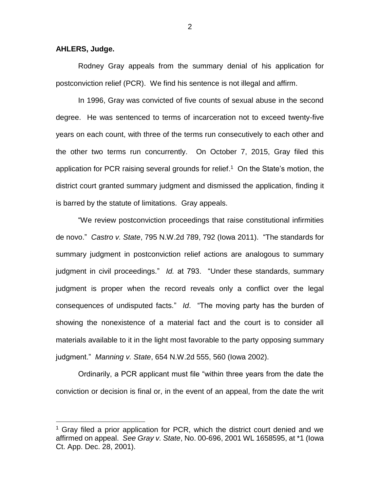## **AHLERS, Judge.**

 $\overline{a}$ 

Rodney Gray appeals from the summary denial of his application for postconviction relief (PCR). We find his sentence is not illegal and affirm.

In 1996, Gray was convicted of five counts of sexual abuse in the second degree. He was sentenced to terms of incarceration not to exceed twenty-five years on each count, with three of the terms run consecutively to each other and the other two terms run concurrently. On October 7, 2015, Gray filed this application for PCR raising several grounds for relief. 1 On the State's motion, the district court granted summary judgment and dismissed the application, finding it is barred by the statute of limitations. Gray appeals.

"We review postconviction proceedings that raise constitutional infirmities de novo." *Castro v. State*, 795 N.W.2d 789, 792 (Iowa 2011). "The standards for summary judgment in postconviction relief actions are analogous to summary judgment in civil proceedings." *Id.* at 793. "Under these standards, summary judgment is proper when the record reveals only a conflict over the legal consequences of undisputed facts." *Id*. "The moving party has the burden of showing the nonexistence of a material fact and the court is to consider all materials available to it in the light most favorable to the party opposing summary judgment." *Manning v. State*, 654 N.W.2d 555, 560 (Iowa 2002).

Ordinarily, a PCR applicant must file "within three years from the date the conviction or decision is final or, in the event of an appeal, from the date the writ

2

 $1$  Gray filed a prior application for PCR, which the district court denied and we affirmed on appeal. *See Gray v. State*, No. 00-696, 2001 WL 1658595, at \*1 (Iowa Ct. App. Dec. 28, 2001).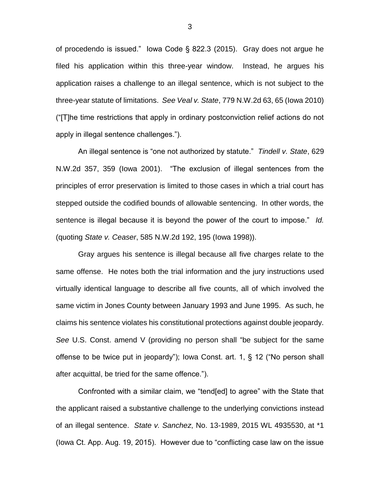of procedendo is issued." Iowa Code § 822.3 (2015). Gray does not argue he filed his application within this three-year window. Instead, he argues his application raises a challenge to an illegal sentence, which is not subject to the three-year statute of limitations. *See Veal v. State*, 779 N.W.2d 63, 65 (Iowa 2010) ("[T]he time restrictions that apply in ordinary postconviction relief actions do not apply in illegal sentence challenges.").

An illegal sentence is "one not authorized by statute." *Tindell v. State*, 629 N.W.2d 357, 359 (Iowa 2001). "The exclusion of illegal sentences from the principles of error preservation is limited to those cases in which a trial court has stepped outside the codified bounds of allowable sentencing. In other words, the sentence is illegal because it is beyond the power of the court to impose." *Id.*  (quoting *State v. Ceaser*, 585 N.W.2d 192, 195 (Iowa 1998)).

Gray argues his sentence is illegal because all five charges relate to the same offense. He notes both the trial information and the jury instructions used virtually identical language to describe all five counts, all of which involved the same victim in Jones County between January 1993 and June 1995. As such, he claims his sentence violates his constitutional protections against double jeopardy. *See* U.S. Const. amend V (providing no person shall "be subject for the same offense to be twice put in jeopardy"); Iowa Const. art. 1, § 12 ("No person shall after acquittal, be tried for the same offence.").

Confronted with a similar claim, we "tend[ed] to agree" with the State that the applicant raised a substantive challenge to the underlying convictions instead of an illegal sentence. *State v. Sanchez*, No. 13-1989, 2015 WL 4935530, at \*1 (Iowa Ct. App. Aug. 19, 2015). However due to "conflicting case law on the issue

3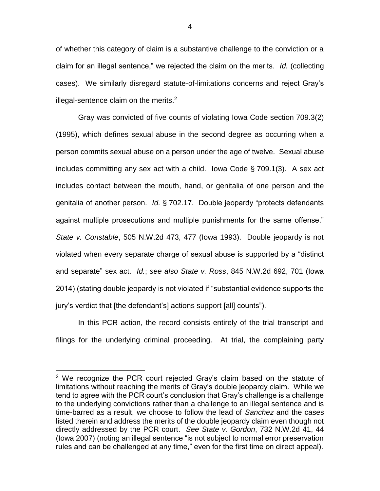of whether this category of claim is a substantive challenge to the conviction or a claim for an illegal sentence," we rejected the claim on the merits. *Id.* (collecting cases). We similarly disregard statute-of-limitations concerns and reject Gray's illegal-sentence claim on the merits. $2$ 

Gray was convicted of five counts of violating Iowa Code section 709.3(2) (1995), which defines sexual abuse in the second degree as occurring when a person commits sexual abuse on a person under the age of twelve. Sexual abuse includes committing any sex act with a child. Iowa Code § 709.1(3). A sex act includes contact between the mouth, hand, or genitalia of one person and the genitalia of another person. *Id.* § 702.17. Double jeopardy "protects defendants against multiple prosecutions and multiple punishments for the same offense." *State v. Constable*, 505 N.W.2d 473, 477 (Iowa 1993). Double jeopardy is not violated when every separate charge of sexual abuse is supported by a "distinct and separate" sex act. *Id.*; *see also State v. Ross*, 845 N.W.2d 692, 701 (Iowa 2014) (stating double jeopardy is not violated if "substantial evidence supports the jury's verdict that [the defendant's] actions support [all] counts").

In this PCR action, the record consists entirely of the trial transcript and filings for the underlying criminal proceeding. At trial, the complaining party

 $\overline{a}$ 

 $2$  We recognize the PCR court rejected Gray's claim based on the statute of limitations without reaching the merits of Gray's double jeopardy claim. While we tend to agree with the PCR court's conclusion that Gray's challenge is a challenge to the underlying convictions rather than a challenge to an illegal sentence and is time-barred as a result, we choose to follow the lead of *Sanchez* and the cases listed therein and address the merits of the double jeopardy claim even though not directly addressed by the PCR court. *See State v. Gordon*, 732 N.W.2d 41, 44 (Iowa 2007) (noting an illegal sentence "is not subject to normal error preservation rules and can be challenged at any time," even for the first time on direct appeal).